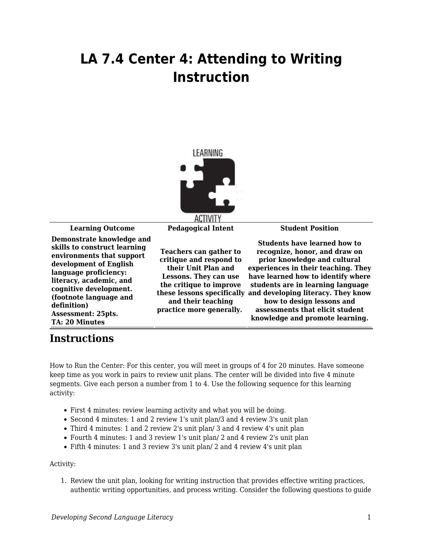## **LA 7.4 Center 4: Attending to Writing Instruction**



**Learning Outcome Pedagogical Intent Student Position Demonstrate knowledge and skills to construct learning environments that support development of English language proficiency: literacy, academic, and cognitive development. (footnote language and definition) Assessment: 25pts. TA: 20 Minutes Teachers can gather to critique and respond to their Unit Plan and Lessons. They can use the critique to improve and their teaching practice more generally.** 

**these lessons specifically and developing literacy. They know Students have learned how to recognize, honor, and draw on prior knowledge and cultural experiences in their teaching. They have learned how to identify where students are in learning language how to design lessons and assessments that elicit student knowledge and promote learning.**

## **Instructions**

How to Run the Center: For this center, you will meet in groups of 4 for 20 minutes. Have someone keep time as you work in pairs to review unit plans. The center will be divided into five 4 minute segments. Give each person a number from 1 to 4. Use the following sequence for this learning activity:

- First 4 minutes: review learning activity and what you will be doing.
- Second 4 minutes: 1 and 2 review 1's unit plan/3 and 4 review 3's unit plan
- Third 4 minutes: 1 and 2 review 2's unit plan/ 3 and 4 review 4's unit plan
- Fourth 4 minutes: 1 and 3 review 1's unit plan/ 2 and 4 review 2's unit plan
- Fifth 4 minutes: 1 and 3 review 3's unit plan/ 2 and 4 review 4's unit plan

## Activity:

1. Review the unit plan, looking for writing instruction that provides effective writing practices, authentic writing opportunities, and process writing. Consider the following questions to guide